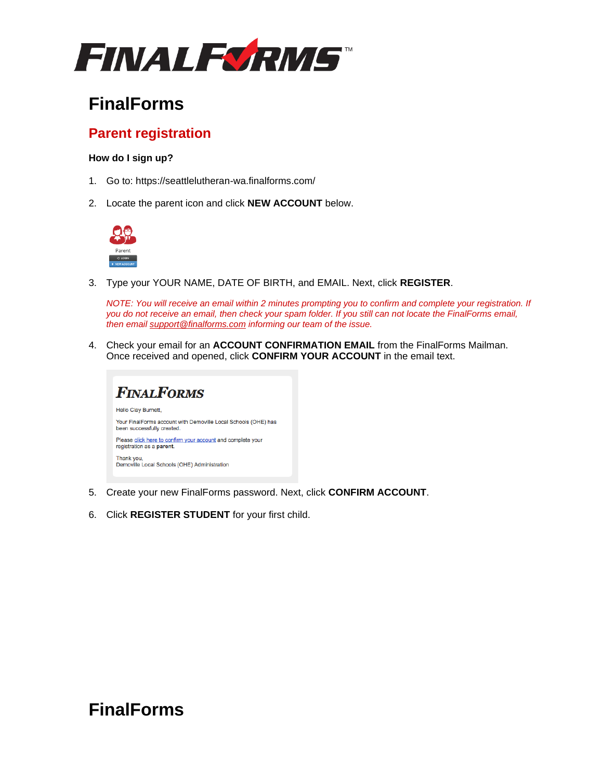

# **FinalForms**

### **Parent registration**

#### **How do I sign up?**

- 1. Go to: https://seattlelutheran-wa.finalforms.com/
- 2. Locate the parent icon and click **NEW ACCOUNT** below.



3. Type your YOUR NAME, DATE OF BIRTH, and EMAIL. Next, click **REGISTER**.

*NOTE: You will receive an email within 2 minutes prompting you to confirm and complete your registration. If you do not receive an email, then check your spam folder. If you still can not locate the FinalForms email, then email [support@finalforms.com](mailto:support@finalforms.com) informing our team of the issue.*

4. Check your email for an **ACCOUNT CONFIRMATION EMAIL** from the FinalForms Mailman. Once received and opened, click **CONFIRM YOUR ACCOUNT** in the email text.



- 5. Create your new FinalForms password. Next, click **CONFIRM ACCOUNT**.
- 6. Click **REGISTER STUDENT** for your first child.

## **FinalForms**